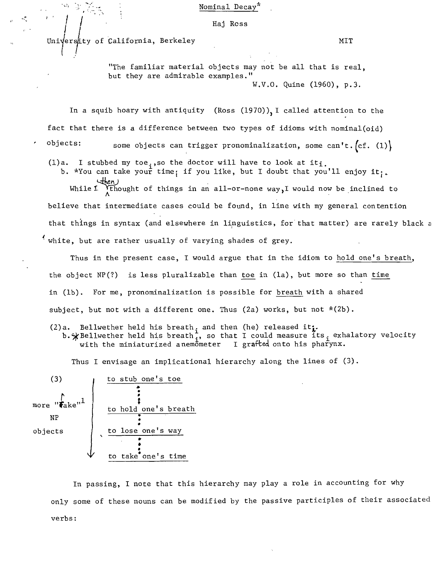Nominal Decay

" ! I Raj Ross

Universty of California, Berkeley MIT

"The familiar material objects may not be all that is real, but they are admirable examples." W.V.O. Quine (1960), p.3.

In a squib hoary with antiquity (Ross  $(1970)$ ), I called attention to the fact that there is a difference between two types of idioms with nominal(oid)

objects: some objects can trigger pronominalization, some can't.  $(cf. (1))$ 

(1)a. I stubbed my toe<sub>;</sub>,so the doctor will have to look at it<sub>i.</sub>

b. \*You can take your time; if you like, but I doubt that you'll enjoy it;.

While 1  $\bigwedge^{\text{th}}$  of things in an all-or-none way, I would now be inclined to believe that intermediate cases could be found, in line with my general contention that things in syntax (and elsewhere in linguistics, for that matter) are rarely black  $\varepsilon$ white, but are rather usually of varying shades of grey.

Thus in the present case, I would argue that in the idiom to hold one's breath, the object NP(?) is less pluralizable than toe in (la), but more so than time in (lb). For me, pronominalization is possible for breath with a shared subject, but not with a different one. Thus (2a) works, but not \*(2b).

(2)a. Bellwether held his breath, and then (he) released it $\mathbf{i}$ .

ject, but not with a different one. Thus (2a) works, but not \*(2b).<br>a. Bellwether held his breath<sub>i</sub> and then (he) released it:<br>b.\*Bellwether held his breath<sub>i</sub>, so that I could measure its<sub>i</sub> exhalatory velocity<br>with the with the miniaturized anemometer I grafted onto his pharynx.

Thus I envisage an implicational hierarchy along the lines of (3).



In passing, I note that this hierarchy may play a role in accounting for why only some of these nouns can be modified by the passive participles of their associated verbs: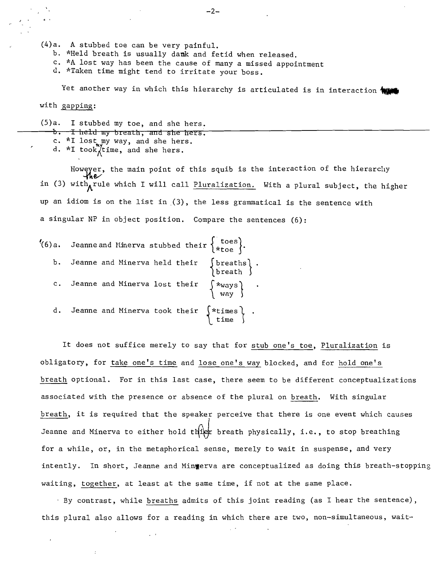(4) a. A stubbed toe can be very painful.

- b. \*Held breath is usually dank and fetid when released.
- c. \*A lost way has been the cause of many a missed appointment
- d. \*Taken time might tend to irritate your boss.

Yet another way in which this hierarchy is articulated is in interaction with

with gapping:

I

(5) a. I stubbed my toe, and she hers.

- b. I held my breath, and she hers.
- c. \*1 lost my way, and she hers.
- d. \*I took $\sqrt{\pi}$ time, and she hers.

However, the main point of this squib is the interaction of the hierarchy in (3) with rule which I will call Pluralization. With a plural subject, the higher up an idiom is on the list in (3), the less grammatical is the sentence with a singular NP in object position. Compare the sentences (6):

| (6)a. Jeanne and Minerva stubbed their $\{^{*}$ toes).                                                             |
|--------------------------------------------------------------------------------------------------------------------|
| b. Jeanne and Minerva held their (breaths).<br>(breath)                                                            |
| c. Jeanne and Minerva lost their $\left\{\begin{array}{c} \ast_{\text{ways}} \\ \text{way} \end{array}\right\}$ .  |
| d. Jeanne and Minerva took their $\left\{\begin{array}{c} \star \text{times} \\ \text{time} \end{array}\right\}$ . |

It does not suffice merely to say that for stub one's toe, Pluralization is obligatory, for take one's time and lose one's way blocked, and for hold one's breath optional. For in this last case, there seem to be different conceptualizations associated with the presence or absence of the plural on breath. With singular breath, it is required that the speaker perceive that there is one event which causes Jeanne and Minerva to either hold the breath physically, i.e., to stop breathing for a while, or, in the metaphorical sense, merely to wait in suspense, and very intently. In short, Jeanne and Mingerva are conceptualized as doing this breath-stopping waiting, together, at least at the same time, if not at the same place.

By contrast, while breaths admits of this joint reading (as I hear the sentence), this plural also allows for a reading in which there are two, non-simultaneous, wait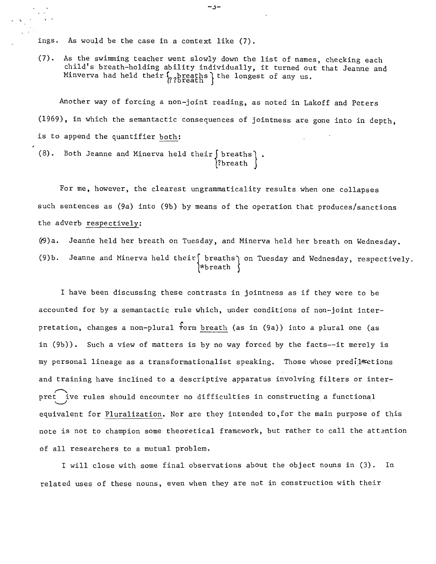ings. As would be the case in a context like (7).

(7). As the swimming teacher went slowly down the list of names, checking each child's breath-holding ability individually, it turned out that Jeanne and Minverva had held their  $\{$ ?hreaths ithe longest of any us.

Another way of forcing a non-joint reading, as noted in Lakoff and Peters (1969), in which the semantactic consequences of jointness are gone into in depth, is to append the quantifier both:

(8). Both Jeanne and Minerva held their  $\int$  breaths  $\int$  . ?breath

For me, however, the clearest ungrammaticality results when one collapses such sentences as (9a) into (9b) by means of the operation that produces/sanctions the adverb respectively:

('9)a. Jeanne held her breath on Tuesday, and Minerva held her breath on Wednesday. (9)b. Jeanne and Minerva held their $\left\{\begin{array}{c} \text{breaks} \ \text{break} \end{array}\right\}$ 

I have been discussing these contrasts in jointness as if they were to be accounted for by a semantactic rule which, under conditions of non-joint inter pretation, changes a non-plural form breath (as in (9a)) into a plural one (as in (9b)). Such a view of matters is by no way forced by the facts--it merely is my personal lineage as a transformationalist speaking. Those whose predil setions and training have inclined to a descriptive apparatus involving filters or interpret ive rules should encounter no difficulties in constructing a functional  $\smile$ equivalent for Pluralization. Nor are they intended to,for the main purpose of this note is not to champion some theoretical framework, but rather to call the attention of all researchers to a mutual problem.

I will close with some final observations about the object nouns in (3). In related uses of these nouns, even when they are not in construction with their

 $-5-$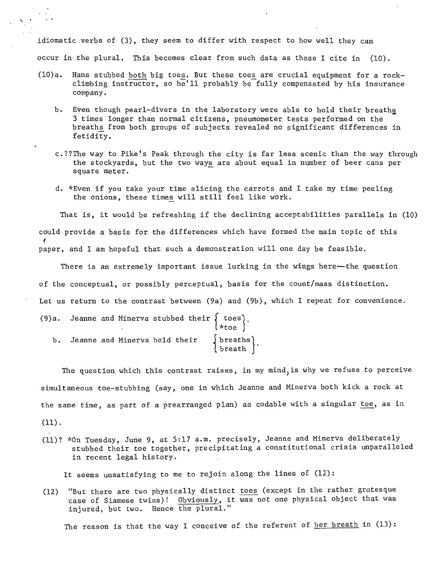idiomatic verbs of (3), they seem to differ with respect to how well they can occur in the plural. This becomes clear from such data as those I cite in  $(10)$ .

- $(10)a$ . Hans stubbed both big toes. But these toes are crucial equipment for a rockclimbing instructor, so he'll probably be fully compensated by his insurance company.
	- b. Even though pearl-divers in the laboratory were able to hold their breaths 3 times longer than normal citizens, pneumometer tests performed on the breaths from both groups of subjects revealed no significant differences in fetidity.
	- c.??The way to Pike's Peak through the city is far less scenic than the way through the stockyards, but the two ways are about equal in number of beer cans per square meter.
	- d. \*Even if you take your time slicing the carrots and I take my time peeling the onions, these times will still feel like work.

That is, it would be refreshing if the declining acceptabilities parallels in (10) could provide a basis for the differences which have formed the main topic of this paper, and I am hopeful that such a demonstration will one day be feasible.

There is an extremely important issue lurking in the wings here--the question of the conceptual, or possibly perceptual, basis for the count/mass distinction. Let us return to the contrast between (9a) and (9b), which I repeat for convenience.

|  |                                  |  | (9)a. Jeanne and Minerva stubbed their $\left\{\begin{array}{c} \texttt{tos}\\ \texttt{toe} \end{array}\right\}$ . |  |
|--|----------------------------------|--|--------------------------------------------------------------------------------------------------------------------|--|
|  | b. Jeanne and Minerva held their |  | $\left\{\begin{array}{c}\text{breaths} \\ \text{breath}\end{array}\right\}.$                                       |  |

The question which this contrast raises, in my mind, is why we refuse to perceive simultaneous toe-stubbing (say, one in which Jeanne and Minerva both kick a rock at the same time, as part of a prearranged plan) as codab1e with a singular toe, as in

 $(11)$ .

'.

(11)? \*On Tuesday, June 9, at 5:17 a.m. precisely, Jeanne and Minerva deliberately stubbed their toe together, precipitating a constitutional crisis unparalleled in recent legal history.

It seems unsatisfying to me to rejoin along the lines of (12):

(12) "But there are two physically distinct toes (except in the rather grotesque case of Siamese twins)! Obviously, it was not one physical object that was injured, but two. Hence the plural."

The reason is that the way I conceive of the referent of her breath in  $(13)$ :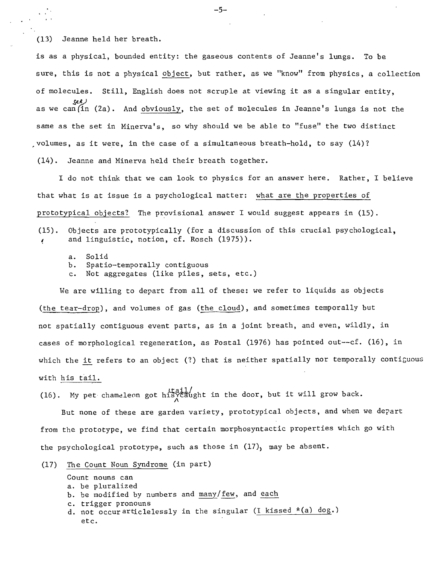(13) Jeanne held her breath.

 $\mathcal{L}^{(2)}$ 

is as a physical, bounded entity: the gaseous contents of Jeanne's lungs. To be sure, this is not a physical object, but rather, as we "know" from physics, a collection of molecules. Still, English does not scruple at viewing it as a singular entity, as we can(in (2a). And <u>obviously</u>, the set of molecules in Jeanne's lungs is not the same as the set in Minerva's, so why should we be able to "fuse" the two distinct ,volumes, as it were, in the case of a simultaneous breath-hold, to say (14)? (14). Jeanne and Minerva held their breath together.

I do not think that we can look to physics for an answer here. Rather, I believe that what is at issue is a psychological matter: what are the properties of prototypical objects? The provisional answer I would suggest appears in (15). (15). Objects are prototypically (for a discussion of this crucial psychological, and linguistic, notion, cf. Rosch (1975)).

- a. Solid
- b. Spatio-tempora11y contiguous
- c. Not aggregates (like piles, sets, etc.)

We are willing to depart from all of these: we refer to liquids as objects (the tear-drop), and volumes of gas (the cloud), and sometimes temporally but not spatially contiguous event parts, as in a joint breath, and even, wildly, in cases of morphological regeneration, as Postal (1976) has pointed out--cf. (16), in which the it refers to an object (?) that is neither spatially nor temporally contiguous with his tail.

(16). My pet chameleon got his caught in the door, but it will grow back.

But none of these are garden variety, prototypical objects, and when we depart from the prototype, we find that certain morphosyntactic properties which go with the psychological prototype, such as those in  $(17)$ , may be absent.

(17) The Count Noun Syndrome (in part)

Count nouns can a. be pluralized b. be modified by numbers and many/few, and each c. trigger pronouns d. not occur articlelessly in the singular (I kissed  $*(a)$  dog.) etc.

**-5**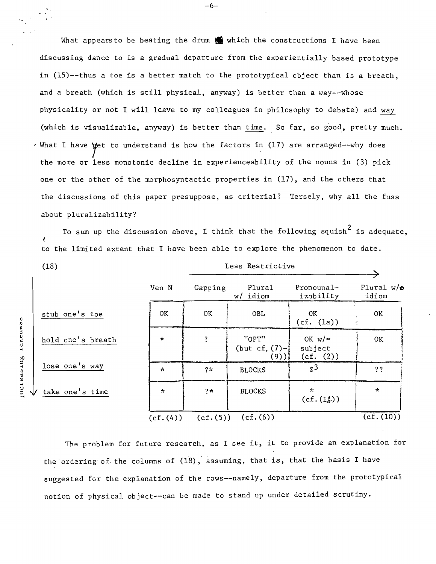What appears to be beating the drum  $\bigcirc$  which the constructions I have been discussing dance to is a gradual departure from the experientially based prototype in (15)--thus a toe is a better match to the prototypical object than is a breath, and a breath (which is still physical, anyway) is better than a way--whose physicality or not I will leave to my colleagues in philosophy to debate) and way (which is visua1izab1e, anyway) is better than time. So far, so good, pretty much. , What I have yet to understand is how the factors in (17) are arranged--why does the more or less monotonic decline in experienceabi1ity of the nouns in (3) pick one or the other of the morphosyntactic properties in (17), and the others that the discussions of this paper presuppose, as criterial? Tersely, why all the fuss about p1uralizabi1ity?

To sum up the discussion above, I think that the following squish<sup>2</sup> is adequate. to the limited extent that I have been able to explore the phenomenon to date.

| (18)                      | Less Restrictive |            |                                 |                                  |                            |
|---------------------------|------------------|------------|---------------------------------|----------------------------------|----------------------------|
|                           | Ven N            | Gapping    | Plural<br>idiom<br>w/           | $Pronounal-$<br>izability        | Plural $w/\sigma$<br>idiom |
| stub one's toe            | 0K               | 0K         | OBL                             | OK<br>(cf. (la))                 | OK                         |
| hold one's breath         | $\star$          | $\ddot{ }$ | "OPT"<br>(but cf. $(7)-$<br>(9) | OK $w/=$<br>subject<br>(cf. (2)) | 0K                         |
| lose one's way            | ∗                | $2\pi$     | <b>BLOCKS</b>                   | $\chi^3$                         | ??                         |
| $\sqrt{}$ take one's time | $\mathcal{R}$    | $2*$       | <b>BLOCKS</b>                   | $\sim$<br>$(cf.(1\&))$           | $\star$                    |
|                           | (cf.(4))         | (cf.(5))   | (cf. (6))                       |                                  | (c.f. (10))                |

The problem for future research, as I see it, it to provide an explanation for the ordering of the columns of (18), assuming, that is, that the basis I have suggested for. the explanation of the rows--name1y, departure from the prototypical notion of physicaJ. object--can be made to stand up under detailed scrutiny.

IJ IJ lJ lJ :G :0 ....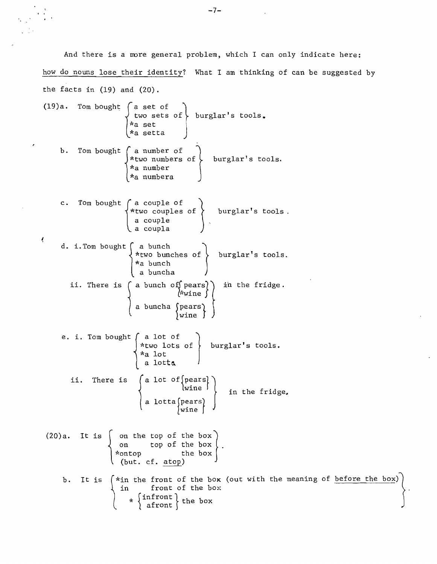And there is a more general problem, which I can only indicate here: how do nouns lose their identity? What I am thinking of can be suggested by the facts in  $(19)$  and  $(20)$ .

 $\epsilon$ 

 $\mathcal{L}$ 

(19)a. Tom bought a set of ,two sets Of} burglar's tools. 1<a set f \*a setta 1 b. Tom bought { a of number burgLar ' stools. of \*two numbers \*a number \*a numbera \*two couples of of 1burglar I stools. c. TOm bought {a cou.P1e 1 a couple d. i. Tom bought 1 a coup1a a bunch bunches of burglar1s tools. \*two \*a bunch in the fridge. ii. There is 1a bunch of) p~arS]1 l~~wlne a bunch a a buncha {p:ars} Wlne 1 e. i. Tom bought { a \*two lot of lots burglar's tools. of \*a lot a lotto. ii. There is in the f r Ldge, (20) a. It is { on the top of the bOX} on top of the box . \*ontop the box (but. d. atop) b. It is the front of the box (out with the meaning of before the bOX)}. in front of the box \* rinfront 1the box ) afront 

 $\mathcal{L}^{\text{max}}_{\text{max}}$  , where  $\mathcal{L}^{\text{max}}_{\text{max}}$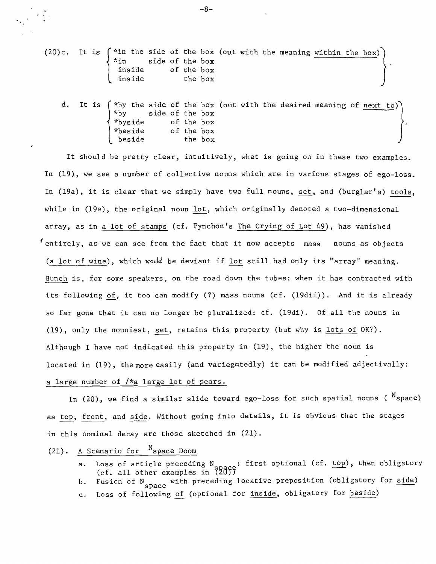(20)c. It is  $\begin{cases} *in$  the side of the box (out with the meaning within the box)  $*in$  side of the box in side of the box<br>inside of the box<br>inside the box the box

It is  $\int^{\infty}$  the side of the box (out with the desired meaning of next to) \*byside of the box \*beside of the box beside the box

It should be pretty clear, intuitively, what is going on in these two examples. In (19), we see a number of collective nouns which are in various stages of ego-loss. In (19a), it is clear that we simply have two full nouns, set,and (burglar's) tools, while in (1ge), the original noun lot, which originally denoted a two-dimensional array, as in a lot of stamps (cf. Pynchon's The Crying of Lot 49), has vanished entirely, as we can see from the fact that it now accepts mass nouns as objects (a lot of wine), which would be deviant if lot still had only its "array" meaning. Bunch is, for some speakers, on the road down the tubes: when it has contracted with its following of, it too can modify (?) mass nouns (cf. (19dii)). And it is already so far gone that it can no longer be pluralized: cf. (19di). Of all the nouns in (19), only the nouniest, set, retains this property (but why is lots of OK?). Although I have not indicated this property in (19), the higher the noun is located in (19), the more easily (and variegatedly) it can be modified adjectivally: a large number of *I\*a* large lot of pears.

In (20), we find a similar slide toward ego-loss for such spatial nouns (  $N_{\text{space}}$ ) as top, front, and side. Without going into details, it is obvious that the stages in this nominal decay are those sketched in (21).

## $(21)$ . A Scenario for  $N_{\text{space}}$  Doom

- a. Loss of article preceding N<sub>enace</sub>: first optional (cf. top), then obligatory  $(cf. all other examples in  $87\overline{d}5$$
- b. Fusion of N space with preceding locative preposition (obligatory for side)<br>c. Loss of following of (optional for inside, obligatory for beside)
- Loss of following of (optional for inside, obligatory for beside)

-8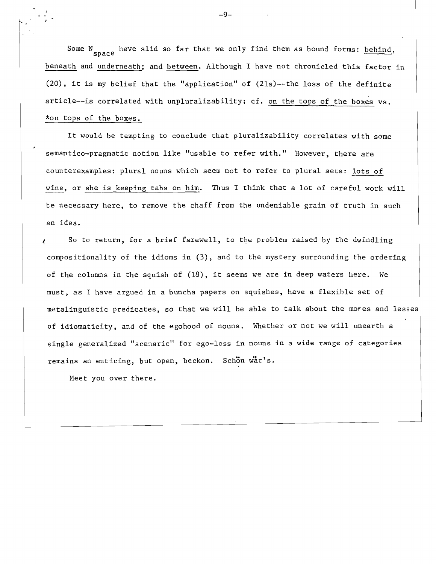Some  $N_{\text{space}}$  have slid so far that we only find them as bound forms: behind, beneath and underneath; and between. Although I have not chronicled this factor in (20), it is my belief that the "application" of (2la)--the loss of the definite article--is correlated with unpluralizability: cf. on the tops of the boxes vs. \*on tops of the boxes.

It would be tempting to conclude that pluralizability correlates with some semantico-pragmatic notion like "usable to refer with." However, there are counterexamples: plural nouns which seem not to refer to plural sets: lots of wine, or she is keeping tabs on him. Thus I think that a lot of careful work will be necessary here, to remove the chaff from the undeniable grain of truth in such an idea.

So to return, for a brief farewell, to the problem raised by the dwindling compositionality of the idioms in (3), and to the mystery surrounding the ordering of the columns in the squish of  $(18)$ , it seems we are in deep waters here. We must, as I have argued in a buncha papers on squishes, have a flexible set of metalinguistic predicates, so that we will be able to talk about the mores and lesses of idiomaticity, and of the egohood of nouns. Whether or not we will unearth a single generalized "scenario" for ego-loss in nouns in a wide range of categories remains an enticing, but open, beckon. Schon war's.

Meet you over there.

-9-